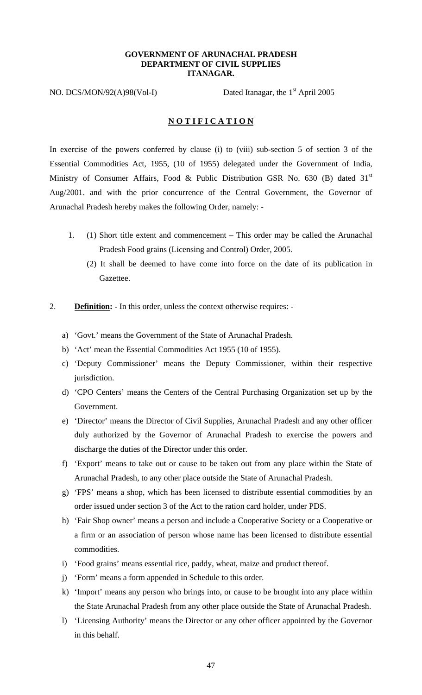## **GOVERNMENT OF ARUNACHAL PRADESH DEPARTMENT OF CIVIL SUPPLIES ITANAGAR.**

NO. DCS/MON/92(A)98(Vol-I) Dated Itanagar, the 1<sup>st</sup> April 2005

# **N O T I F I C A T I O N**

In exercise of the powers conferred by clause (i) to (viii) sub-section 5 of section 3 of the Essential Commodities Act, 1955, (10 of 1955) delegated under the Government of India, Ministry of Consumer Affairs, Food & Public Distribution GSR No. 630 (B) dated  $31<sup>st</sup>$ Aug/2001. and with the prior concurrence of the Central Government, the Governor of Arunachal Pradesh hereby makes the following Order, namely: -

- 1. (1) Short title extent and commencement This order may be called the Arunachal Pradesh Food grains (Licensing and Control) Order, 2005.
	- (2) It shall be deemed to have come into force on the date of its publication in Gazettee.
- 2. **Definition: -** In this order, unless the context otherwise requires:
	- a) 'Govt.' means the Government of the State of Arunachal Pradesh.
	- b) 'Act' mean the Essential Commodities Act 1955 (10 of 1955).
	- c) 'Deputy Commissioner' means the Deputy Commissioner, within their respective jurisdiction.
	- d) 'CPO Centers' means the Centers of the Central Purchasing Organization set up by the Government.
	- e) 'Director' means the Director of Civil Supplies, Arunachal Pradesh and any other officer duly authorized by the Governor of Arunachal Pradesh to exercise the powers and discharge the duties of the Director under this order.
	- f) 'Export' means to take out or cause to be taken out from any place within the State of Arunachal Pradesh, to any other place outside the State of Arunachal Pradesh.
	- g) 'FPS' means a shop, which has been licensed to distribute essential commodities by an order issued under section 3 of the Act to the ration card holder, under PDS.
	- h) 'Fair Shop owner' means a person and include a Cooperative Society or a Cooperative or a firm or an association of person whose name has been licensed to distribute essential commodities.
	- i) 'Food grains' means essential rice, paddy, wheat, maize and product thereof.
	- j) 'Form' means a form appended in Schedule to this order.
	- k) 'Import' means any person who brings into, or cause to be brought into any place within the State Arunachal Pradesh from any other place outside the State of Arunachal Pradesh.
	- l) 'Licensing Authority' means the Director or any other officer appointed by the Governor in this behalf.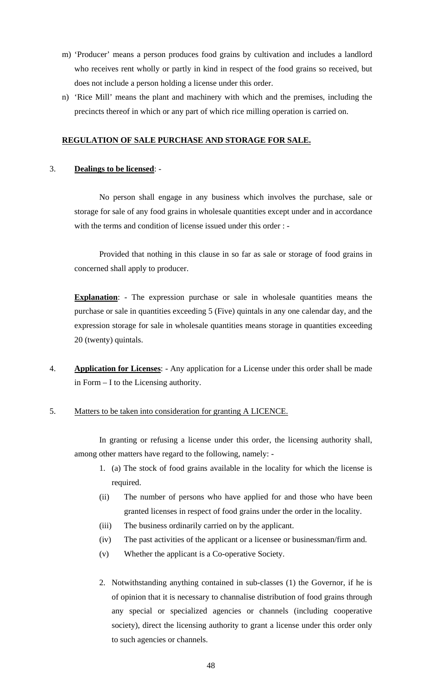- m) 'Producer' means a person produces food grains by cultivation and includes a landlord who receives rent wholly or partly in kind in respect of the food grains so received, but does not include a person holding a license under this order.
- n) 'Rice Mill' means the plant and machinery with which and the premises, including the precincts thereof in which or any part of which rice milling operation is carried on.

# **REGULATION OF SALE PURCHASE AND STORAGE FOR SALE.**

# 3. **Dealings to be licensed**: -

No person shall engage in any business which involves the purchase, sale or storage for sale of any food grains in wholesale quantities except under and in accordance with the terms and condition of license issued under this order : -

Provided that nothing in this clause in so far as sale or storage of food grains in concerned shall apply to producer.

**Explanation:** - The expression purchase or sale in wholesale quantities means the purchase or sale in quantities exceeding 5 (Five) quintals in any one calendar day, and the expression storage for sale in wholesale quantities means storage in quantities exceeding 20 (twenty) quintals.

4. **Application for Licenses**: - Any application for a License under this order shall be made in Form – I to the Licensing authority.

# 5. Matters to be taken into consideration for granting A LICENCE.

In granting or refusing a license under this order, the licensing authority shall, among other matters have regard to the following, namely: -

- 1. (a) The stock of food grains available in the locality for which the license is required.
- (ii) The number of persons who have applied for and those who have been granted licenses in respect of food grains under the order in the locality.
- (iii) The business ordinarily carried on by the applicant.
- (iv) The past activities of the applicant or a licensee or businessman/firm and.
- (v) Whether the applicant is a Co-operative Society.
- 2. Notwithstanding anything contained in sub-classes (1) the Governor, if he is of opinion that it is necessary to channalise distribution of food grains through any special or specialized agencies or channels (including cooperative society), direct the licensing authority to grant a license under this order only to such agencies or channels.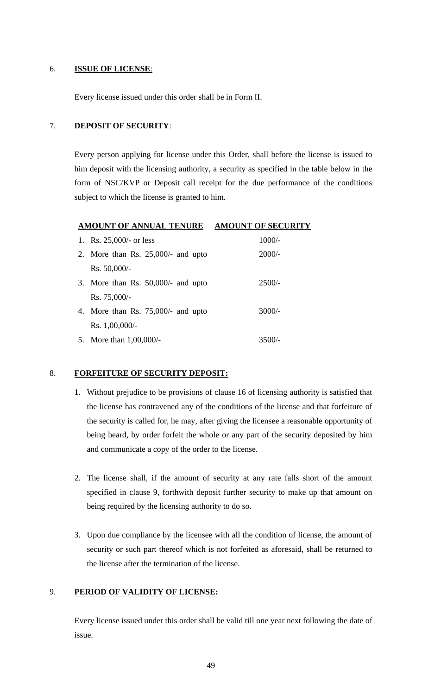# 6. **ISSUE OF LICENSE**:

Every license issued under this order shall be in Form II.

# 7. **DEPOSIT OF SECURITY**:

Every person applying for license under this Order, shall before the license is issued to him deposit with the licensing authority, a security as specified in the table below in the form of NSC/KVP or Deposit call receipt for the due performance of the conditions subject to which the license is granted to him.

# **AMOUNT OF ANNUAL TENURE AMOUNT OF SECURITY**

| 1. Rs. $25,000/-$ or less            | $1000/-$ |
|--------------------------------------|----------|
| 2. More than Rs. $25,000/-$ and upto | $2000/-$ |
| $Rs. 50,000/$ -                      |          |
| 3. More than Rs. $50,000/4$ and upto | $2500/-$ |
| $Rs. 75,000/$ -                      |          |
| 4. More than Rs. $75,000/4$ and upto | $3000/-$ |
| Rs. 1,00,000/                        |          |
| 5. More than $1,00,000/$ -           | 3500/-   |

## 8. **FORFEITURE OF SECURITY DEPOSIT:**

- 1. Without prejudice to be provisions of clause 16 of licensing authority is satisfied that the license has contravened any of the conditions of the license and that forfeiture of the security is called for, he may, after giving the licensee a reasonable opportunity of being heard, by order forfeit the whole or any part of the security deposited by him and communicate a copy of the order to the license.
- 2. The license shall, if the amount of security at any rate falls short of the amount specified in clause 9, forthwith deposit further security to make up that amount on being required by the licensing authority to do so.
- 3. Upon due compliance by the licensee with all the condition of license, the amount of security or such part thereof which is not forfeited as aforesaid, shall be returned to the license after the termination of the license.

# 9. **PERIOD OF VALIDITY OF LICENSE:**

Every license issued under this order shall be valid till one year next following the date of issue.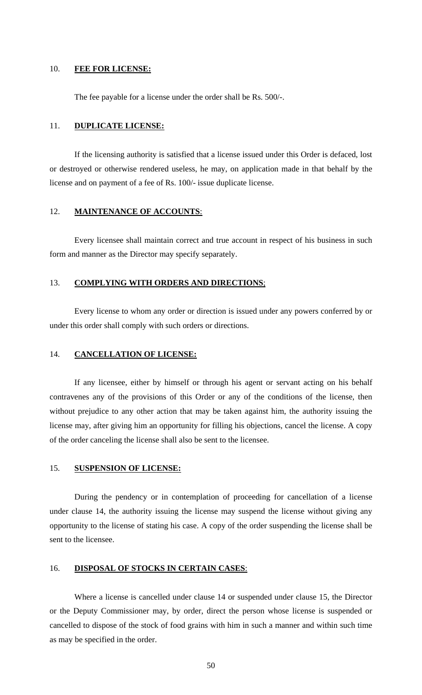#### 10. **FEE FOR LICENSE:**

The fee payable for a license under the order shall be Rs. 500/-.

#### 11. **DUPLICATE LICENSE:**

If the licensing authority is satisfied that a license issued under this Order is defaced, lost or destroyed or otherwise rendered useless, he may, on application made in that behalf by the license and on payment of a fee of Rs. 100/- issue duplicate license.

#### 12. **MAINTENANCE OF ACCOUNTS**:

Every licensee shall maintain correct and true account in respect of his business in such form and manner as the Director may specify separately.

## 13. **COMPLYING WITH ORDERS AND DIRECTIONS**;

 Every license to whom any order or direction is issued under any powers conferred by or under this order shall comply with such orders or directions.

#### 14. **CANCELLATION OF LICENSE:**

 If any licensee, either by himself or through his agent or servant acting on his behalf contravenes any of the provisions of this Order or any of the conditions of the license, then without prejudice to any other action that may be taken against him, the authority issuing the license may, after giving him an opportunity for filling his objections, cancel the license. A copy of the order canceling the license shall also be sent to the licensee.

#### 15. **SUSPENSION OF LICENSE:**

 During the pendency or in contemplation of proceeding for cancellation of a license under clause 14, the authority issuing the license may suspend the license without giving any opportunity to the license of stating his case. A copy of the order suspending the license shall be sent to the licensee.

#### 16. **DISPOSAL OF STOCKS IN CERTAIN CASES**:

 Where a license is cancelled under clause 14 or suspended under clause 15, the Director or the Deputy Commissioner may, by order, direct the person whose license is suspended or cancelled to dispose of the stock of food grains with him in such a manner and within such time as may be specified in the order.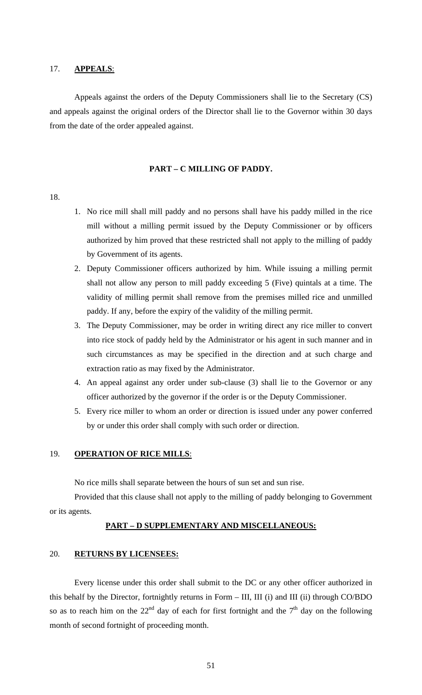## 17. **APPEALS**:

 Appeals against the orders of the Deputy Commissioners shall lie to the Secretary (CS) and appeals against the original orders of the Director shall lie to the Governor within 30 days from the date of the order appealed against.

#### **PART – C MILLING OF PADDY.**

#### 18.

- 1. No rice mill shall mill paddy and no persons shall have his paddy milled in the rice mill without a milling permit issued by the Deputy Commissioner or by officers authorized by him proved that these restricted shall not apply to the milling of paddy by Government of its agents.
- 2. Deputy Commissioner officers authorized by him. While issuing a milling permit shall not allow any person to mill paddy exceeding 5 (Five) quintals at a time. The validity of milling permit shall remove from the premises milled rice and unmilled paddy. If any, before the expiry of the validity of the milling permit.
- 3. The Deputy Commissioner, may be order in writing direct any rice miller to convert into rice stock of paddy held by the Administrator or his agent in such manner and in such circumstances as may be specified in the direction and at such charge and extraction ratio as may fixed by the Administrator.
- 4. An appeal against any order under sub-clause (3) shall lie to the Governor or any officer authorized by the governor if the order is or the Deputy Commissioner.
- 5. Every rice miller to whom an order or direction is issued under any power conferred by or under this order shall comply with such order or direction.

#### 19. **OPERATION OF RICE MILLS**:

No rice mills shall separate between the hours of sun set and sun rise.

 Provided that this clause shall not apply to the milling of paddy belonging to Government or its agents.

#### **PART – D SUPPLEMENTARY AND MISCELLANEOUS:**

#### 20. **RETURNS BY LICENSEES:**

 Every license under this order shall submit to the DC or any other officer authorized in this behalf by the Director, fortnightly returns in Form – III, III (i) and III (ii) through CO/BDO so as to reach him on the  $22<sup>nd</sup>$  day of each for first fortnight and the  $7<sup>th</sup>$  day on the following month of second fortnight of proceeding month.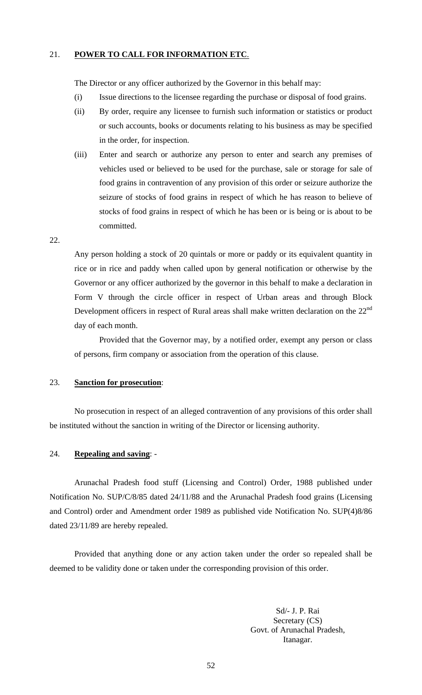### 21. **POWER TO CALL FOR INFORMATION ETC**.

The Director or any officer authorized by the Governor in this behalf may:

- (i) Issue directions to the licensee regarding the purchase or disposal of food grains.
- (ii) By order, require any licensee to furnish such information or statistics or product or such accounts, books or documents relating to his business as may be specified in the order, for inspection.
- (iii) Enter and search or authorize any person to enter and search any premises of vehicles used or believed to be used for the purchase, sale or storage for sale of food grains in contravention of any provision of this order or seizure authorize the seizure of stocks of food grains in respect of which he has reason to believe of stocks of food grains in respect of which he has been or is being or is about to be committed.

#### 22.

Any person holding a stock of 20 quintals or more or paddy or its equivalent quantity in rice or in rice and paddy when called upon by general notification or otherwise by the Governor or any officer authorized by the governor in this behalf to make a declaration in Form V through the circle officer in respect of Urban areas and through Block Development officers in respect of Rural areas shall make written declaration on the  $22<sup>nd</sup>$ day of each month.

 Provided that the Governor may, by a notified order, exempt any person or class of persons, firm company or association from the operation of this clause.

## 23. **Sanction for prosecution**:

No prosecution in respect of an alleged contravention of any provisions of this order shall be instituted without the sanction in writing of the Director or licensing authority.

## 24. **Repealing and saving**: -

Arunachal Pradesh food stuff (Licensing and Control) Order, 1988 published under Notification No. SUP/C/8/85 dated 24/11/88 and the Arunachal Pradesh food grains (Licensing and Control) order and Amendment order 1989 as published vide Notification No. SUP(4)8/86 dated 23/11/89 are hereby repealed.

 Provided that anything done or any action taken under the order so repealed shall be deemed to be validity done or taken under the corresponding provision of this order.

> Sd/- J. P. Rai Secretary (CS) Govt. of Arunachal Pradesh, Itanagar.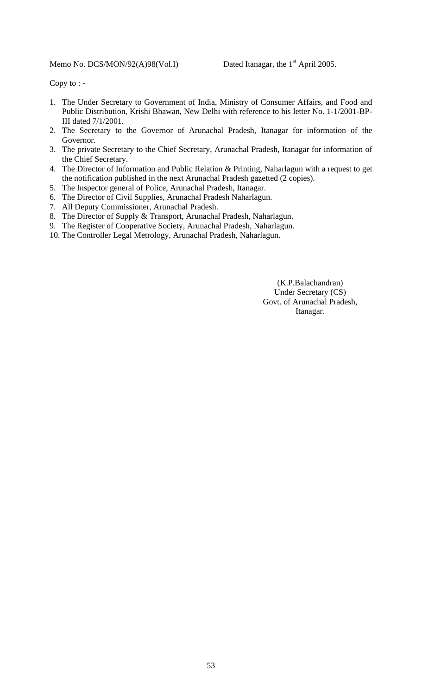# Memo No. DCS/MON/92(A)98(Vol.I) Dated Itanagar, the 1<sup>st</sup> April 2005.

Copy to : -

- 1. The Under Secretary to Government of India, Ministry of Consumer Affairs, and Food and Public Distribution, Krishi Bhawan, New Delhi with reference to his letter No. 1-1/2001-BP-III dated 7/1/2001.
- 2. The Secretary to the Governor of Arunachal Pradesh, Itanagar for information of the Governor.
- 3. The private Secretary to the Chief Secretary, Arunachal Pradesh, Itanagar for information of the Chief Secretary.
- 4. The Director of Information and Public Relation & Printing, Naharlagun with a request to get the notification published in the next Arunachal Pradesh gazetted (2 copies).
- 5. The Inspector general of Police, Arunachal Pradesh, Itanagar.
- 6. The Director of Civil Supplies, Arunachal Pradesh Naharlagun.
- 7. All Deputy Commissioner, Arunachal Pradesh.
- 8. The Director of Supply & Transport, Arunachal Pradesh, Naharlagun.
- 9. The Register of Cooperative Society, Arunachal Pradesh, Naharlagun.
- 10. The Controller Legal Metrology, Arunachal Pradesh, Naharlagun.

(K.P.Balachandran) Under Secretary (CS) Govt. of Arunachal Pradesh, Itanagar.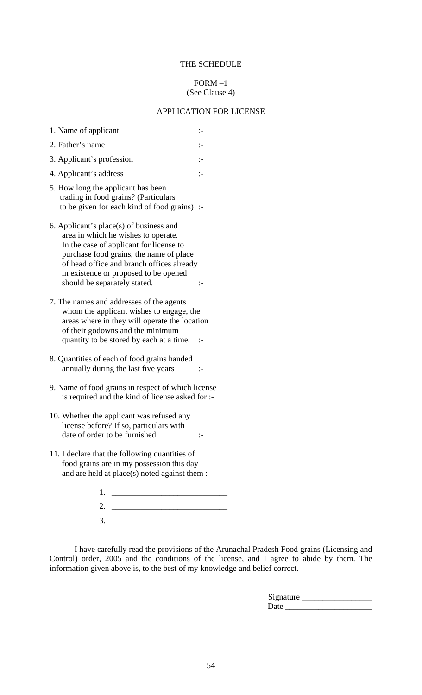## THE SCHEDULE

#### $FORM-1$ (See Clause 4)

#### APPLICATION FOR LICENSE

- 1. Name of applicant :-2. Father's name :-
- 3. Applicant's profession :-
- 4. Applicant's address ;-
- 5. How long the applicant has been trading in food grains? (Particulars to be given for each kind of food grains) :-
- 6. Applicant's place(s) of business and area in which he wishes to operate. In the case of applicant for license to purchase food grains, the name of place of head office and branch offices already in existence or proposed to be opened should be separately stated.  $\cdot$
- 7. The names and addresses of the agents whom the applicant wishes to engage, the areas where in they will operate the location of their godowns and the minimum quantity to be stored by each at a time. :-
- 8. Quantities of each of food grains handed annually during the last five years :-
- 9. Name of food grains in respect of which license is required and the kind of license asked for :-
- 10. Whether the applicant was refused any license before? If so, particulars with date of order to be furnished :-
- 11. I declare that the following quantities of food grains are in my possession this day and are held at place(s) noted against them :-

| $\overline{\phantom{a}}$<br>$\sim$ |  |
|------------------------------------|--|

 I have carefully read the provisions of the Arunachal Pradesh Food grains (Licensing and Control) order, 2005 and the conditions of the license, and I agree to abide by them. The information given above is, to the best of my knowledge and belief correct.

| Signature |  |
|-----------|--|
| Date      |  |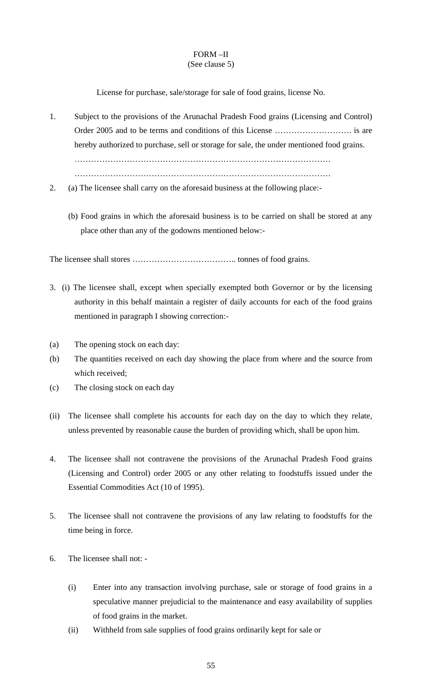#### FORM –II (See clause 5)

# License for purchase, sale/storage for sale of food grains, license No.

- 1. Subject to the provisions of the Arunachal Pradesh Food grains (Licensing and Control) Order 2005 and to be terms and conditions of this License ………………………. is are hereby authorized to purchase, sell or storage for sale, the under mentioned food grains. ………………………………………………………………………………… …………………………………………………………………………………
- 2. (a) The licensee shall carry on the aforesaid business at the following place:-
	- (b) Food grains in which the aforesaid business is to be carried on shall be stored at any place other than any of the godowns mentioned below:-

The licensee shall stores ……………………………….. tonnes of food grains.

- 3. (i) The licensee shall, except when specially exempted both Governor or by the licensing authority in this behalf maintain a register of daily accounts for each of the food grains mentioned in paragraph I showing correction:-
- (a) The opening stock on each day:
- (b) The quantities received on each day showing the place from where and the source from which received;
- (c) The closing stock on each day
- (ii) The licensee shall complete his accounts for each day on the day to which they relate, unless prevented by reasonable cause the burden of providing which, shall be upon him.
- 4. The licensee shall not contravene the provisions of the Arunachal Pradesh Food grains (Licensing and Control) order 2005 or any other relating to foodstuffs issued under the Essential Commodities Act (10 of 1995).
- 5. The licensee shall not contravene the provisions of any law relating to foodstuffs for the time being in force.
- 6. The licensee shall not:
	- (i) Enter into any transaction involving purchase, sale or storage of food grains in a speculative manner prejudicial to the maintenance and easy availability of supplies of food grains in the market.
	- (ii) Withheld from sale supplies of food grains ordinarily kept for sale or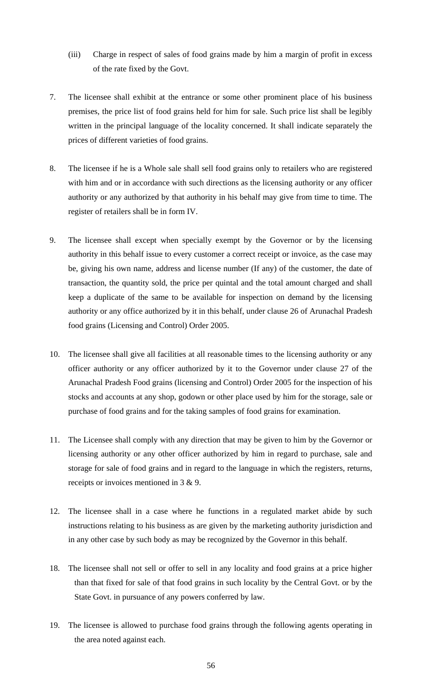- (iii) Charge in respect of sales of food grains made by him a margin of profit in excess of the rate fixed by the Govt.
- 7. The licensee shall exhibit at the entrance or some other prominent place of his business premises, the price list of food grains held for him for sale. Such price list shall be legibly written in the principal language of the locality concerned. It shall indicate separately the prices of different varieties of food grains.
- 8. The licensee if he is a Whole sale shall sell food grains only to retailers who are registered with him and or in accordance with such directions as the licensing authority or any officer authority or any authorized by that authority in his behalf may give from time to time. The register of retailers shall be in form IV.
- 9. The licensee shall except when specially exempt by the Governor or by the licensing authority in this behalf issue to every customer a correct receipt or invoice, as the case may be, giving his own name, address and license number (If any) of the customer, the date of transaction, the quantity sold, the price per quintal and the total amount charged and shall keep a duplicate of the same to be available for inspection on demand by the licensing authority or any office authorized by it in this behalf, under clause 26 of Arunachal Pradesh food grains (Licensing and Control) Order 2005.
- 10. The licensee shall give all facilities at all reasonable times to the licensing authority or any officer authority or any officer authorized by it to the Governor under clause 27 of the Arunachal Pradesh Food grains (licensing and Control) Order 2005 for the inspection of his stocks and accounts at any shop, godown or other place used by him for the storage, sale or purchase of food grains and for the taking samples of food grains for examination.
- 11. The Licensee shall comply with any direction that may be given to him by the Governor or licensing authority or any other officer authorized by him in regard to purchase, sale and storage for sale of food grains and in regard to the language in which the registers, returns, receipts or invoices mentioned in 3 & 9.
- 12. The licensee shall in a case where he functions in a regulated market abide by such instructions relating to his business as are given by the marketing authority jurisdiction and in any other case by such body as may be recognized by the Governor in this behalf.
- 18. The licensee shall not sell or offer to sell in any locality and food grains at a price higher than that fixed for sale of that food grains in such locality by the Central Govt. or by the State Govt. in pursuance of any powers conferred by law.
- 19. The licensee is allowed to purchase food grains through the following agents operating in the area noted against each.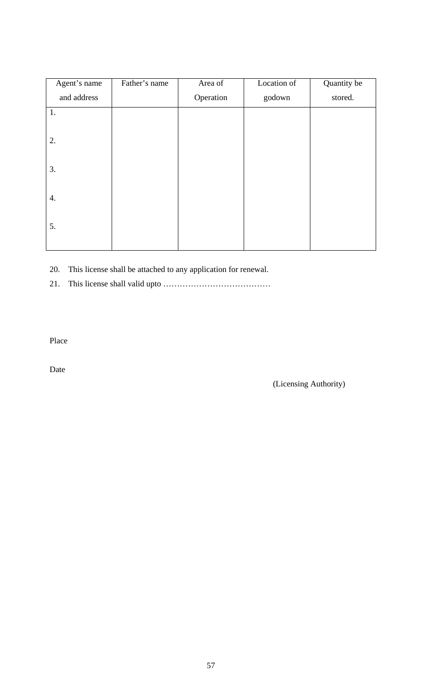| Father's name | Area of   | Location of | Quantity be |
|---------------|-----------|-------------|-------------|
|               | Operation | godown      | stored.     |
|               |           |             |             |
|               |           |             |             |
|               |           |             |             |
|               |           |             |             |
|               |           |             |             |
|               |           |             |             |
|               |           |             |             |
|               |           |             |             |
|               |           |             |             |
|               |           |             |             |

20. This license shall be attached to any application for renewal.

21. This license shall valid upto …………………………………

Place

Date

(Licensing Authority)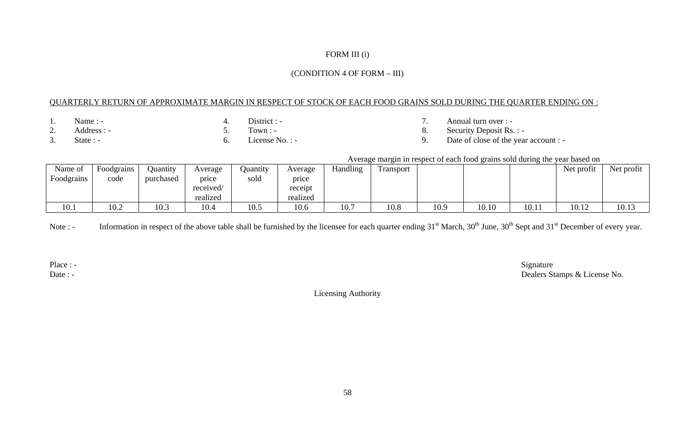# FORM III (i)

#### (CONDITION 4 OF FORM – III)

## QUARTERLY RETURN OF APPROXIMATE MARGIN IN RESPECT OF STOCK OF EACH FOOD GRAINS SOLD DURING THE QUARTER ENDING ON :

- 
- 1. Name : 4. District : 7. Annual turn over :
	-
- 2. Address : 5. Town : 8. Security Deposit Rs. : 8. Security Deposit Rs. : 8. Security Deposit Rs. : 9. Date of close of the year 3. State : - 6. License No. : - 9. Date of close of the year account : -

## Average margin in respect of each food grains sold during the year based on

| Name of<br>Foodgrains | Foodgrains<br>code | Juantity<br>purchased | Average<br>price<br>received/<br>realized | Quantity<br>sold | Average<br>price<br>receipt<br>realized | Handling<br>$\mathbf{r}$ | $\mathbf{r}$<br>Fransport |      |       |       | Net profit | Net profit |
|-----------------------|--------------------|-----------------------|-------------------------------------------|------------------|-----------------------------------------|--------------------------|---------------------------|------|-------|-------|------------|------------|
| 10.1                  | 10.2               | 10.3                  | 10.4                                      | 10.5             | 10.6                                    | 10.7                     | 10.8                      | 10.9 | 10.10 | 10.11 | 10.12      | 10.13      |

Note : - Information in respect of the above table shall be furnished by the licensee for each quarter ending 31<sup>st</sup> March, 30<sup>th</sup> June, 30<sup>th</sup> Sept and 31<sup>st</sup> December of every year.

Place : - Signature Signature Signature Signature Signature Signature Signature Signature Signature Signature Signature Signature Signature Signature Signature Signature Signature Signature Signature Signature Signature Si Date : - Dealers Stamps & License No.

Licensing Authority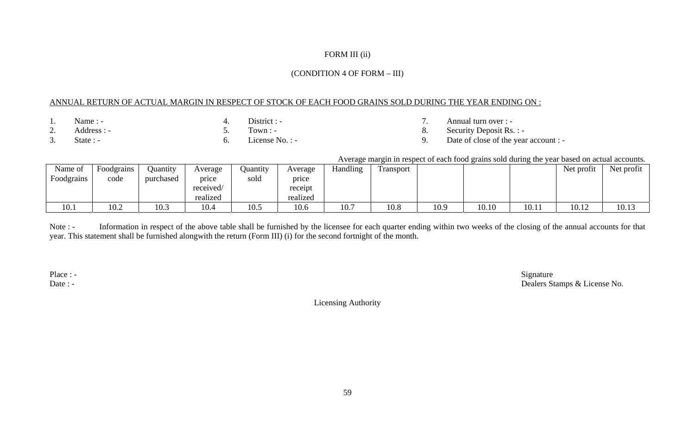# FORM III (ii)

## (CONDITION 4 OF FORM – III)

## ANNUAL RETURN OF ACTUAL MARGIN IN RESPECT OF STOCK OF EACH FOOD GRAINS SOLD DURING THE YEAR ENDING ON :

- 
- 1. Name : 4. District : 7. Annual turn over : -
- 2. Address : 5. Town : 8. Security Deposit Rs. : 8. Security Deposit Rs. : 8. Security Deposit Rs. : 9. Date of close of the vear
	-
- 3. State : 6. License No. : 9. Date of close of the year account : -

## Average margin in respect of each food grains sold during the year based on actual accounts.

| Name of    | $\overline{\phantom{0}}$<br>Foodgrains | Juantity  | Average   | Juantity | Average  | <b>Handling</b> | ransport |      |       |       | Net profit | Net profit |
|------------|----------------------------------------|-----------|-----------|----------|----------|-----------------|----------|------|-------|-------|------------|------------|
| Foodgrains | code                                   | purchased | price     | sold     | price    |                 |          |      |       |       |            |            |
|            |                                        |           | received/ |          | receipt  |                 |          |      |       |       |            |            |
|            |                                        |           | realized  |          | realized |                 |          |      |       |       |            |            |
| 10.1       | 10.2                                   | 10.3      | 10.4      | 10.5     | 10.6     | 10.7            | 10.8     | 10.9 | 10.10 | 10.11 | 10.12      | 10.13      |

Note : - Information in respect of the above table shall be furnished by the licensee for each quarter ending within two weeks of the closing of the annual accounts for that year. This statement shall be furnished alongwith the return (Form III) (i) for the second fortnight of the month.

Place : - Signature Signature Signature Signature Signature Signature Signature Signature Signature Date : - Dealers Stamps & License No.

Licensing Authority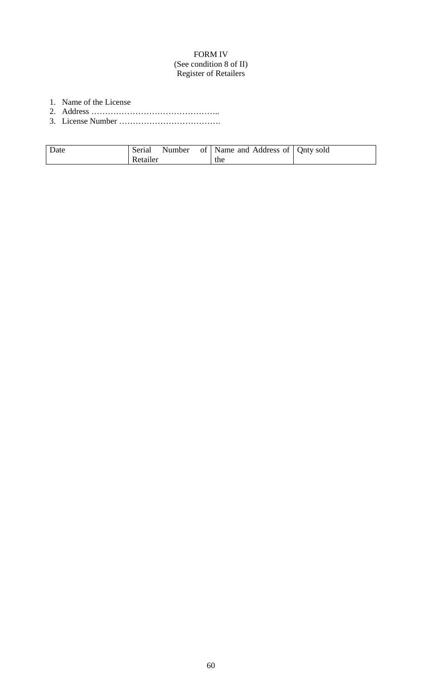# FORM IV (See condition 8 of II) Register of Retailers

- 1. Name of the License
- 2. Address ………………………………………..
- 3. License Number ……………………………….

| Date | Serial  |  | Number of Name and Address of   Qnty sold |  |
|------|---------|--|-------------------------------------------|--|
|      | etailer |  | the                                       |  |